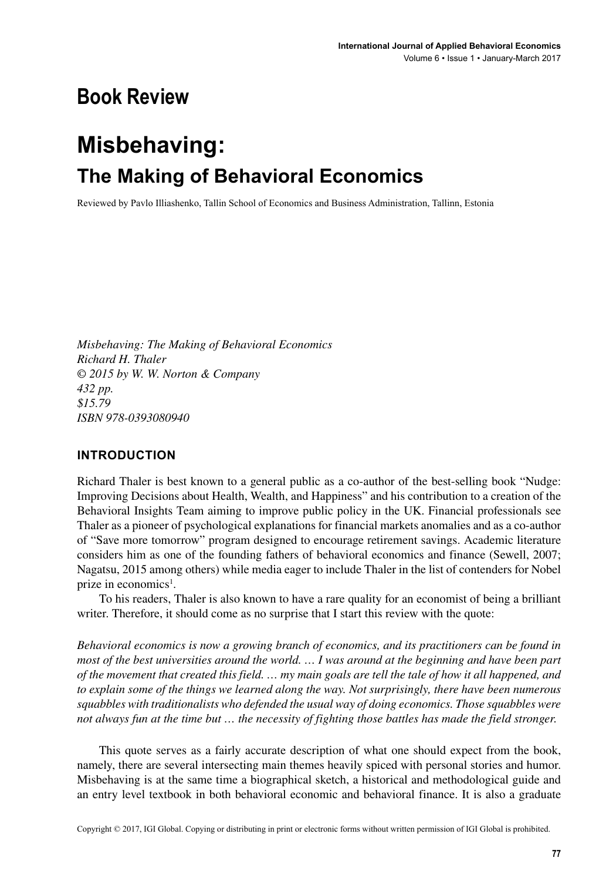## **Book Review**

# **Misbehaving: The Making of Behavioral Economics**

Reviewed by Pavlo Illiashenko, Tallin School of Economics and Business Administration, Tallinn, Estonia

*Misbehaving: The Making of Behavioral Economics Richard H. Thaler © 2015 by W. W. Norton & Company 432 pp. \$15.79 ISBN 978-0393080940*

#### **INTRODUCTION**

Richard Thaler is best known to a general public as a co-author of the best-selling book "Nudge: Improving Decisions about Health, Wealth, and Happiness" and his contribution to a creation of the Behavioral Insights Team aiming to improve public policy in the UK. Financial professionals see Thaler as a pioneer of psychological explanations for financial markets anomalies and as a co-author of "Save more tomorrow" program designed to encourage retirement savings. Academic literature considers him as one of the founding fathers of behavioral economics and finance (Sewell, 2007; Nagatsu, 2015 among others) while media eager to include Thaler in the list of contenders for Nobel prize in economics<sup>1</sup>.

To his readers, Thaler is also known to have a rare quality for an economist of being a brilliant writer. Therefore, it should come as no surprise that I start this review with the quote:

*Behavioral economics is now a growing branch of economics, and its practitioners can be found in most of the best universities around the world. … I was around at the beginning and have been part of the movement that created this field. … my main goals are tell the tale of how it all happened, and to explain some of the things we learned along the way. Not surprisingly, there have been numerous squabbles with traditionalists who defended the usual way of doing economics. Those squabbles were not always fun at the time but … the necessity of fighting those battles has made the field stronger.*

This quote serves as a fairly accurate description of what one should expect from the book, namely, there are several intersecting main themes heavily spiced with personal stories and humor. Misbehaving is at the same time a biographical sketch, a historical and methodological guide and an entry level textbook in both behavioral economic and behavioral finance. It is also a graduate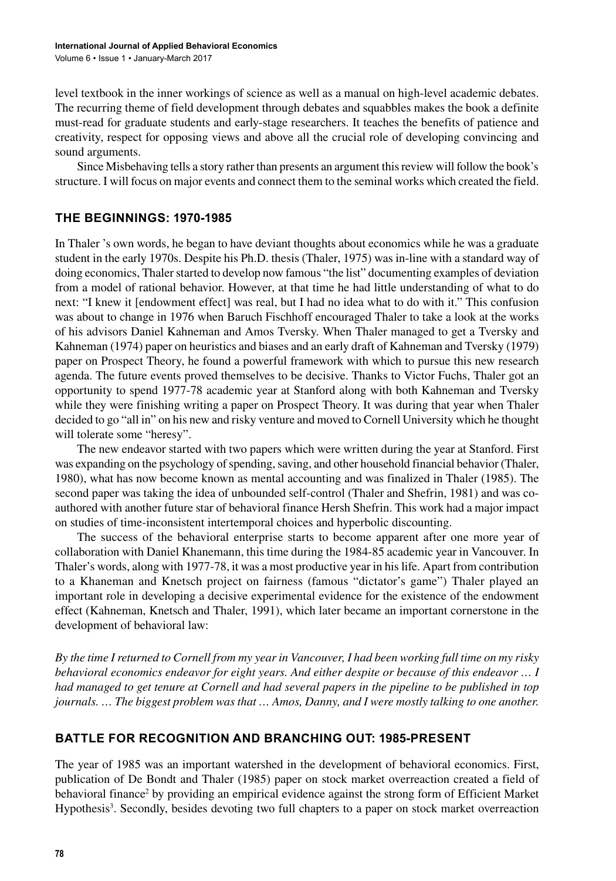level textbook in the inner workings of science as well as a manual on high-level academic debates. The recurring theme of field development through debates and squabbles makes the book a definite must-read for graduate students and early-stage researchers. It teaches the benefits of patience and creativity, respect for opposing views and above all the crucial role of developing convincing and sound arguments.

Since Misbehaving tells a story rather than presents an argument this review will follow the book's structure. I will focus on major events and connect them to the seminal works which created the field.

#### **THE BEGINNINGS: 1970-1985**

In Thaler 's own words, he began to have deviant thoughts about economics while he was a graduate student in the early 1970s. Despite his Ph.D. thesis (Thaler, 1975) was in-line with a standard way of doing economics, Thaler started to develop now famous "the list" documenting examples of deviation from a model of rational behavior. However, at that time he had little understanding of what to do next: "I knew it [endowment effect] was real, but I had no idea what to do with it." This confusion was about to change in 1976 when Baruch Fischhoff encouraged Thaler to take a look at the works of his advisors Daniel Kahneman and Amos Tversky. When Thaler managed to get a Tversky and Kahneman (1974) paper on heuristics and biases and an early draft of Kahneman and Tversky (1979) paper on Prospect Theory, he found a powerful framework with which to pursue this new research agenda. The future events proved themselves to be decisive. Thanks to Victor Fuchs, Thaler got an opportunity to spend 1977-78 academic year at Stanford along with both Kahneman and Tversky while they were finishing writing a paper on Prospect Theory. It was during that year when Thaler decided to go "all in" on his new and risky venture and moved to Cornell University which he thought will tolerate some "heresy".

The new endeavor started with two papers which were written during the year at Stanford. First was expanding on the psychology of spending, saving, and other household financial behavior (Thaler, 1980), what has now become known as mental accounting and was finalized in Thaler (1985). The second paper was taking the idea of unbounded self-control (Thaler and Shefrin, 1981) and was coauthored with another future star of behavioral finance Hersh Shefrin. This work had a major impact on studies of time-inconsistent intertemporal choices and hyperbolic discounting.

The success of the behavioral enterprise starts to become apparent after one more year of collaboration with Daniel Khanemann, this time during the 1984-85 academic year in Vancouver. In Thaler's words, along with 1977-78, it was a most productive year in his life. Apart from contribution to a Khaneman and Knetsch project on fairness (famous "dictator's game") Thaler played an important role in developing a decisive experimental evidence for the existence of the endowment effect (Kahneman, Knetsch and Thaler, 1991), which later became an important cornerstone in the development of behavioral law:

*By the time I returned to Cornell from my year in Vancouver, I had been working full time on my risky behavioral economics endeavor for eight years. And either despite or because of this endeavor … I had managed to get tenure at Cornell and had several papers in the pipeline to be published in top journals. … The biggest problem was that … Amos, Danny, and I were mostly talking to one another.* 

### **BATTLE FOR RECOGNITION AND BRANCHING OUT: 1985-PRESENT**

The year of 1985 was an important watershed in the development of behavioral economics. First, publication of De Bondt and Thaler (1985) paper on stock market overreaction created a field of behavioral finance<sup>2</sup> by providing an empirical evidence against the strong form of Efficient Market Hypothesis<sup>3</sup>. Secondly, besides devoting two full chapters to a paper on stock market overreaction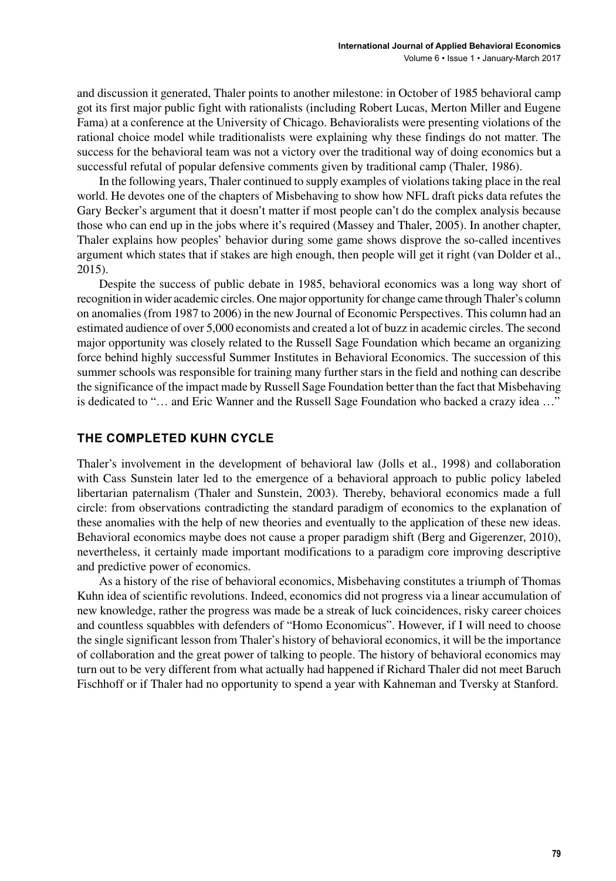and discussion it generated, Thaler points to another milestone: in October of 1985 behavioral camp got its first major public fight with rationalists (including Robert Lucas, Merton Miller and Eugene Fama) at a conference at the University of Chicago. Behavioralists were presenting violations of the rational choice model while traditionalists were explaining why these findings do not matter. The success for the behavioral team was not a victory over the traditional way of doing economics but a successful refutal of popular defensive comments given by traditional camp (Thaler, 1986).

In the following years, Thaler continued to supply examples of violations taking place in the real world. He devotes one of the chapters of Misbehaving to show how NFL draft picks data refutes the Gary Becker's argument that it doesn't matter if most people can't do the complex analysis because those who can end up in the jobs where it's required (Massey and Thaler, 2005). In another chapter, Thaler explains how peoples' behavior during some game shows disprove the so-called incentives argument which states that if stakes are high enough, then people will get it right (van Dolder et al., 2015).

Despite the success of public debate in 1985, behavioral economics was a long way short of recognition in wider academic circles. One major opportunity for change came through Thaler's column on anomalies (from 1987 to 2006) in the new Journal of Economic Perspectives. This column had an estimated audience of over 5,000 economists and created a lot of buzz in academic circles. The second major opportunity was closely related to the Russell Sage Foundation which became an organizing force behind highly successful Summer Institutes in Behavioral Economics. The succession of this summer schools was responsible for training many further stars in the field and nothing can describe the significance of the impact made by Russell Sage Foundation better than the fact that Misbehaving is dedicated to "… and Eric Wanner and the Russell Sage Foundation who backed a crazy idea …"

#### **THE COMPLETED KUHN CYCLE**

Thaler's involvement in the development of behavioral law (Jolls et al., 1998) and collaboration with Cass Sunstein later led to the emergence of a behavioral approach to public policy labeled libertarian paternalism (Thaler and Sunstein, 2003). Thereby, behavioral economics made a full circle: from observations contradicting the standard paradigm of economics to the explanation of these anomalies with the help of new theories and eventually to the application of these new ideas. Behavioral economics maybe does not cause a proper paradigm shift (Berg and Gigerenzer, 2010), nevertheless, it certainly made important modifications to a paradigm core improving descriptive and predictive power of economics.

As a history of the rise of behavioral economics, Misbehaving constitutes a triumph of Thomas Kuhn idea of scientific revolutions. Indeed, economics did not progress via a linear accumulation of new knowledge, rather the progress was made be a streak of luck coincidences, risky career choices and countless squabbles with defenders of "Homo Economicus". However, if I will need to choose the single significant lesson from Thaler's history of behavioral economics, it will be the importance of collaboration and the great power of talking to people. The history of behavioral economics may turn out to be very different from what actually had happened if Richard Thaler did not meet Baruch Fischhoff or if Thaler had no opportunity to spend a year with Kahneman and Tversky at Stanford.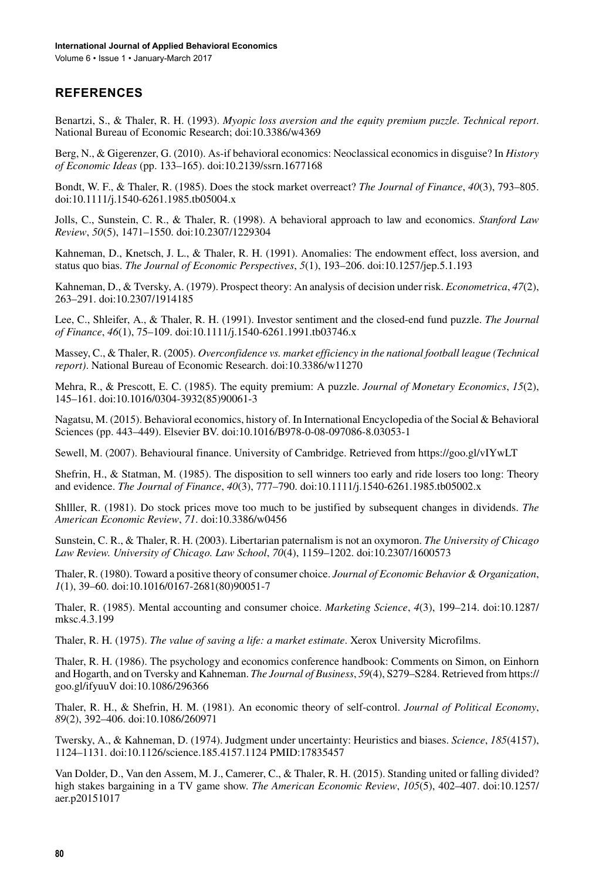Volume 6 • Issue 1 • January-March 2017

### **REFERENCES**

Benartzi, S., & Thaler, R. H. (1993). *Myopic loss aversion and the equity premium puzzle. Technical report*. National Bureau of Economic Research; doi[:10.3386/w4369](http://dx.doi.org/10.3386/w4369)

Berg, N., & Gigerenzer, G. (2010). As-if behavioral economics: Neoclassical economics in disguise? In *History of Economic Ideas* (pp. 133–165). doi:10.2139/ssrn.1677168

Bondt, W. F., & Thaler, R. (1985). Does the stock market overreact? *The Journal of Finance*, *40*(3), 793–805. doi[:10.1111/j.1540-6261.1985.tb05004.x](http://dx.doi.org/10.1111/j.1540-6261.1985.tb05004.x)

Jolls, C., Sunstein, C. R., & Thaler, R. (1998). A behavioral approach to law and economics. *Stanford Law Review*, *50*(5), 1471–1550. doi[:10.2307/1229304](http://dx.doi.org/10.2307/1229304)

Kahneman, D., Knetsch, J. L., & Thaler, R. H. (1991). Anomalies: The endowment effect, loss aversion, and status quo bias. *The Journal of Economic Perspectives*, *5*(1), 193–206. doi:[10.1257/jep.5.1.193](http://dx.doi.org/10.1257/jep.5.1.193)

Kahneman, D., & Tversky, A. (1979). Prospect theory: An analysis of decision under risk. *Econometrica*, *47*(2), 263–291. doi[:10.2307/1914185](http://dx.doi.org/10.2307/1914185)

Lee, C., Shleifer, A., & Thaler, R. H. (1991). Investor sentiment and the closed-end fund puzzle. *The Journal of Finance*, *46*(1), 75–109. doi[:10.1111/j.1540-6261.1991.tb03746.x](http://dx.doi.org/10.1111/j.1540-6261.1991.tb03746.x)

Massey, C., & Thaler, R. (2005). *Overconfidence vs. market efficiency in the national football league (Technical report)*. National Bureau of Economic Research. doi:[10.3386/w11270](http://dx.doi.org/10.3386/w11270)

Mehra, R., & Prescott, E. C. (1985). The equity premium: A puzzle. *Journal of Monetary Economics*, *15*(2), 145–161. doi[:10.1016/0304-3932\(85\)90061-3](http://dx.doi.org/10.1016/0304-3932(85)90061-3)

Nagatsu, M. (2015). Behavioral economics, history of. In International Encyclopedia of the Social & Behavioral Sciences (pp. 443–449). Elsevier BV. doi[:10.1016/B978-0-08-097086-8.03053-1](http://dx.doi.org/10.1016/B978-0-08-097086-8.03053-1)

Sewell, M. (2007). Behavioural finance. University of Cambridge. Retrieved from<https://goo.gl/vIYwLT>

Shefrin, H., & Statman, M. (1985). The disposition to sell winners too early and ride losers too long: Theory and evidence. *The Journal of Finance*, *40*(3), 777–790. doi:[10.1111/j.1540-6261.1985.tb05002.x](http://dx.doi.org/10.1111/j.1540-6261.1985.tb05002.x)

Shlller, R. (1981). Do stock prices move too much to be justified by subsequent changes in dividends. *The American Economic Review*, *71*. doi[:10.3386/w0456](http://dx.doi.org/10.3386/w0456)

Sunstein, C. R., & Thaler, R. H. (2003). Libertarian paternalism is not an oxymoron. *The University of Chicago Law Review. University of Chicago. Law School*, *70*(4), 1159–1202. doi:[10.2307/1600573](http://dx.doi.org/10.2307/1600573)

Thaler, R. (1980). Toward a positive theory of consumer choice. *Journal of Economic Behavior & Organization*, *1*(1), 39–60. doi[:10.1016/0167-2681\(80\)90051-7](http://dx.doi.org/10.1016/0167-2681(80)90051-7)

Thaler, R. (1985). Mental accounting and consumer choice. *Marketing Science*, *4*(3), 199–214. doi[:10.1287/](http://dx.doi.org/10.1287/mksc.4.3.199) [mksc.4.3.199](http://dx.doi.org/10.1287/mksc.4.3.199)

Thaler, R. H. (1975). *The value of saving a life: a market estimate*. Xerox University Microfilms.

Thaler, R. H. (1986). The psychology and economics conference handbook: Comments on Simon, on Einhorn and Hogarth, and on Tversky and Kahneman. *The Journal of Business*, *59*(4), S279–S284. Retrieved from https:// goo.gl/ifyuuV doi:[10.1086/296366](http://dx.doi.org/10.1086/296366)

Thaler, R. H., & Shefrin, H. M. (1981). An economic theory of self-control. *Journal of Political Economy*, *89*(2), 392–406. doi[:10.1086/260971](http://dx.doi.org/10.1086/260971)

Twersky, A., & Kahneman, D. (1974). Judgment under uncertainty: Heuristics and biases. *Science*, *185*(4157), 1124–1131. doi[:10.1126/science.185.4157.1124](http://dx.doi.org/10.1126/science.185.4157.1124) PMID:[17835457](http://www.ncbi.nlm.nih.gov/pubmed/17835457)

Van Dolder, D., Van den Assem, M. J., Camerer, C., & Thaler, R. H. (2015). Standing united or falling divided? high stakes bargaining in a TV game show. *The American Economic Review*, *105*(5), 402–407. doi[:10.1257/](http://dx.doi.org/10.1257/aer.p20151017) [aer.p20151017](http://dx.doi.org/10.1257/aer.p20151017)